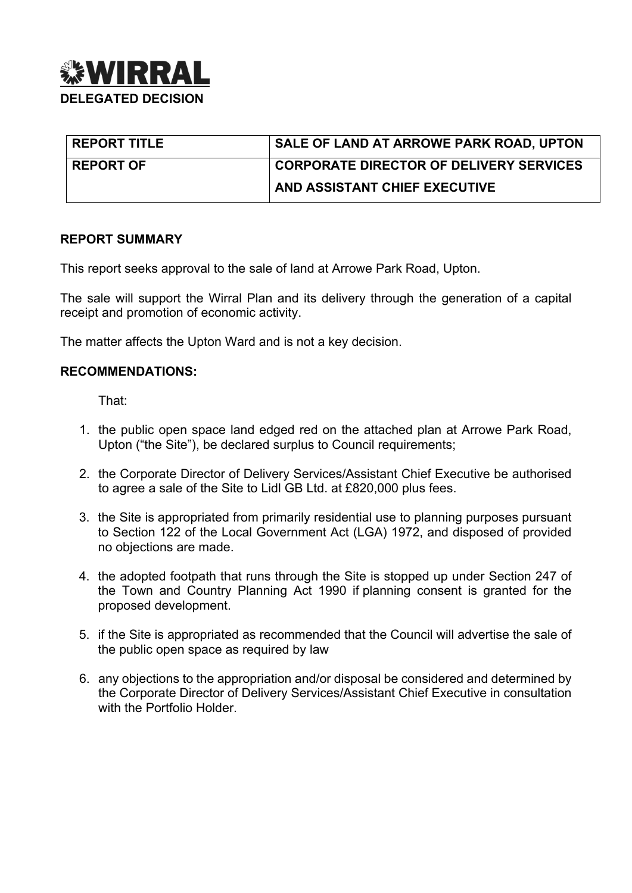

| <b>REPORT TITLE</b> | SALE OF LAND AT ARROWE PARK ROAD, UPTON        |
|---------------------|------------------------------------------------|
| <b>REPORT OF</b>    | <b>CORPORATE DIRECTOR OF DELIVERY SERVICES</b> |
|                     | AND ASSISTANT CHIEF EXECUTIVE                  |

### **REPORT SUMMARY**

This report seeks approval to the sale of land at Arrowe Park Road, Upton.

The sale will support the Wirral Plan and its delivery through the generation of a capital receipt and promotion of economic activity.

The matter affects the Upton Ward and is not a key decision.

### **RECOMMENDATIONS:**

That:

- 1. the public open space land edged red on the attached plan at Arrowe Park Road, Upton ("the Site"), be declared surplus to Council requirements;
- 2. the Corporate Director of Delivery Services/Assistant Chief Executive be authorised to agree a sale of the Site to Lidl GB Ltd. at £820,000 plus fees.
- 3. the Site is appropriated from primarily residential use to planning purposes pursuant to Section 122 of the Local Government Act (LGA) 1972, and disposed of provided no objections are made.
- 4. the adopted footpath that runs through the Site is stopped up under Section 247 of the Town and Country Planning Act 1990 if planning consent is granted for the proposed development.
- 5. if the Site is appropriated as recommended that the Council will advertise the sale of the public open space as required by law
- 6. any objections to the appropriation and/or disposal be considered and determined by the Corporate Director of Delivery Services/Assistant Chief Executive in consultation with the Portfolio Holder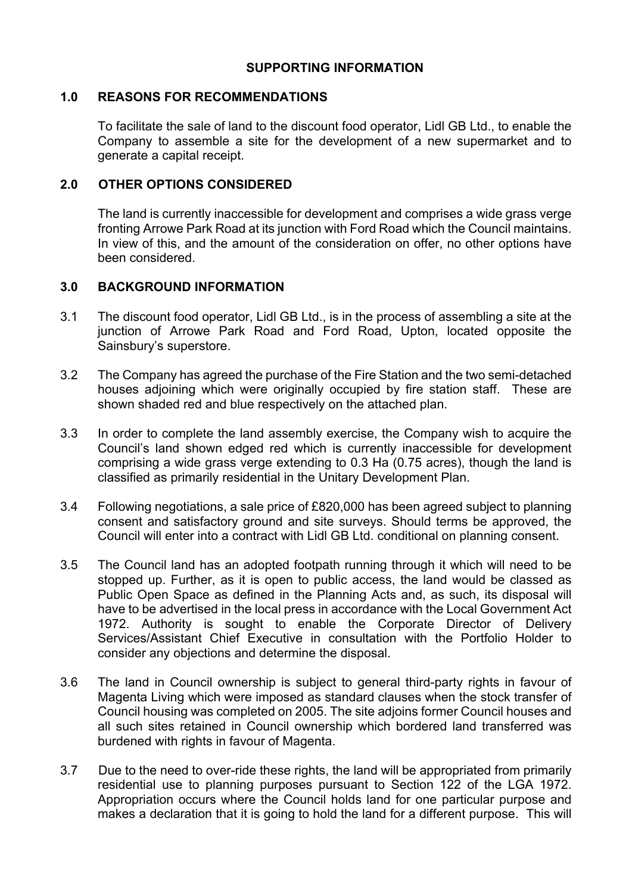## **SUPPORTING INFORMATION**

### **1.0 REASONS FOR RECOMMENDATIONS**

To facilitate the sale of land to the discount food operator, Lidl GB Ltd., to enable the Company to assemble a site for the development of a new supermarket and to generate a capital receipt.

### **2.0 OTHER OPTIONS CONSIDERED**

The land is currently inaccessible for development and comprises a wide grass verge fronting Arrowe Park Road at its junction with Ford Road which the Council maintains. In view of this, and the amount of the consideration on offer, no other options have been considered.

### **3.0 BACKGROUND INFORMATION**

- 3.1 The discount food operator, Lidl GB Ltd., is in the process of assembling a site at the junction of Arrowe Park Road and Ford Road, Upton, located opposite the Sainsbury's superstore.
- 3.2 The Company has agreed the purchase of the Fire Station and the two semi-detached houses adjoining which were originally occupied by fire station staff. These are shown shaded red and blue respectively on the attached plan.
- 3.3 In order to complete the land assembly exercise, the Company wish to acquire the Council's land shown edged red which is currently inaccessible for development comprising a wide grass verge extending to 0.3 Ha (0.75 acres), though the land is classified as primarily residential in the Unitary Development Plan.
- 3.4 Following negotiations, a sale price of £820,000 has been agreed subject to planning consent and satisfactory ground and site surveys. Should terms be approved, the Council will enter into a contract with Lidl GB Ltd. conditional on planning consent.
- 3.5 The Council land has an adopted footpath running through it which will need to be stopped up. Further, as it is open to public access, the land would be classed as Public Open Space as defined in the Planning Acts and, as such, its disposal will have to be advertised in the local press in accordance with the Local Government Act 1972. Authority is sought to enable the Corporate Director of Delivery Services/Assistant Chief Executive in consultation with the Portfolio Holder to consider any objections and determine the disposal.
- 3.6 The land in Council ownership is subject to general third-party rights in favour of Magenta Living which were imposed as standard clauses when the stock transfer of Council housing was completed on 2005. The site adjoins former Council houses and all such sites retained in Council ownership which bordered land transferred was burdened with rights in favour of Magenta.
- 3.7 Due to the need to over-ride these rights, the land will be appropriated from primarily residential use to planning purposes pursuant to Section 122 of the LGA 1972. Appropriation occurs where the Council holds land for one particular purpose and makes a declaration that it is going to hold the land for a different purpose. This will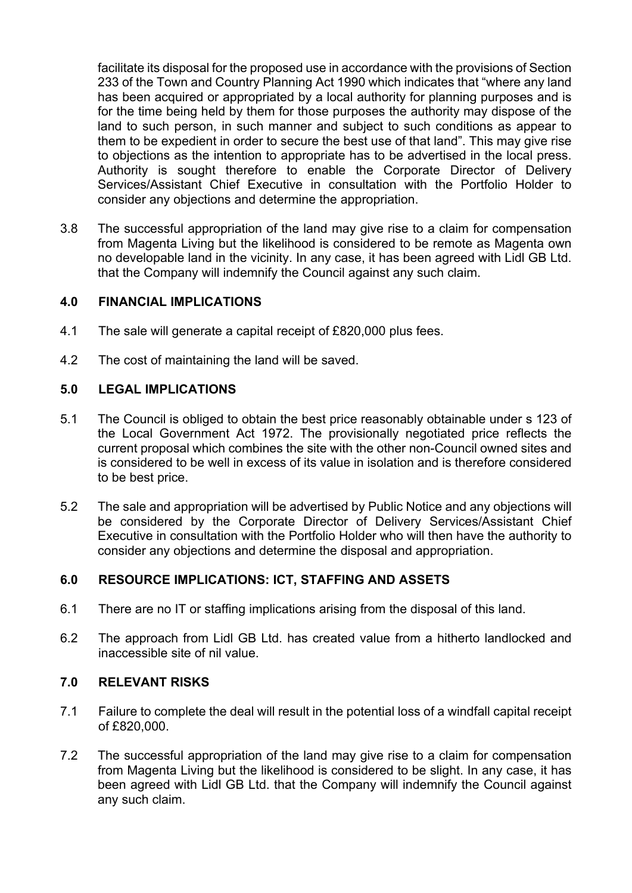facilitate its disposal for the proposed use in accordance with the provisions of Section 233 of the Town and Country Planning Act 1990 which indicates that "where any land has been acquired or appropriated by a local authority for planning purposes and is for the time being held by them for those purposes the authority may dispose of the land to such person, in such manner and subject to such conditions as appear to them to be expedient in order to secure the best use of that land". This may give rise to objections as the intention to appropriate has to be advertised in the local press. Authority is sought therefore to enable the Corporate Director of Delivery Services/Assistant Chief Executive in consultation with the Portfolio Holder to consider any objections and determine the appropriation.

3.8 The successful appropriation of the land may give rise to a claim for compensation from Magenta Living but the likelihood is considered to be remote as Magenta own no developable land in the vicinity. In any case, it has been agreed with Lidl GB Ltd. that the Company will indemnify the Council against any such claim.

### **4.0 FINANCIAL IMPLICATIONS**

- 4.1 The sale will generate a capital receipt of £820,000 plus fees.
- 4.2 The cost of maintaining the land will be saved.

## **5.0 LEGAL IMPLICATIONS**

- 5.1 The Council is obliged to obtain the best price reasonably obtainable under s 123 of the Local Government Act 1972. The provisionally negotiated price reflects the current proposal which combines the site with the other non-Council owned sites and is considered to be well in excess of its value in isolation and is therefore considered to be best price.
- 5.2 The sale and appropriation will be advertised by Public Notice and any objections will be considered by the Corporate Director of Delivery Services/Assistant Chief Executive in consultation with the Portfolio Holder who will then have the authority to consider any objections and determine the disposal and appropriation.

# **6.0 RESOURCE IMPLICATIONS: ICT, STAFFING AND ASSETS**

- 6.1 There are no IT or staffing implications arising from the disposal of this land.
- 6.2 The approach from Lidl GB Ltd. has created value from a hitherto landlocked and inaccessible site of nil value.

# **7.0 RELEVANT RISKS**

- 7.1 Failure to complete the deal will result in the potential loss of a windfall capital receipt of £820,000.
- 7.2 The successful appropriation of the land may give rise to a claim for compensation from Magenta Living but the likelihood is considered to be slight. In any case, it has been agreed with Lidl GB Ltd. that the Company will indemnify the Council against any such claim.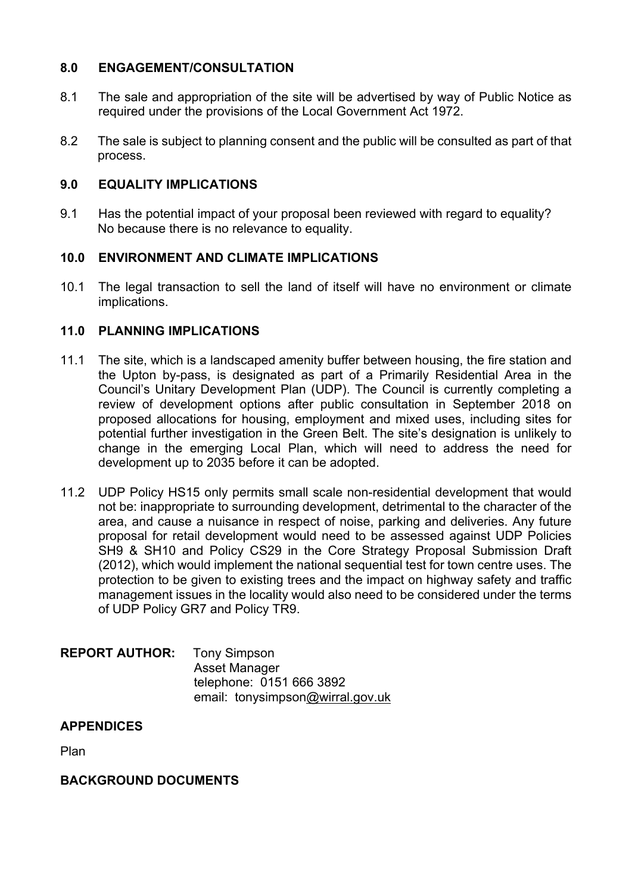## **8.0 ENGAGEMENT/CONSULTATION**

- 8.1 The sale and appropriation of the site will be advertised by way of Public Notice as required under the provisions of the Local Government Act 1972.
- 8.2 The sale is subject to planning consent and the public will be consulted as part of that process.

## **9.0 EQUALITY IMPLICATIONS**

9.1 Has the potential impact of your proposal been reviewed with regard to equality? No because there is no relevance to equality.

## **10.0 ENVIRONMENT AND CLIMATE IMPLICATIONS**

10.1 The legal transaction to sell the land of itself will have no environment or climate implications.

## **11.0 PLANNING IMPLICATIONS**

- 11.1 The site, which is a landscaped amenity buffer between housing, the fire station and the Upton by-pass, is designated as part of a Primarily Residential Area in the Council's Unitary Development Plan (UDP). The Council is currently completing a review of development options after public consultation in September 2018 on proposed allocations for housing, employment and mixed uses, including sites for potential further investigation in the Green Belt. The site's designation is unlikely to change in the emerging Local Plan, which will need to address the need for development up to 2035 before it can be adopted.
- 11.2 UDP Policy HS15 only permits small scale non-residential development that would not be: inappropriate to surrounding development, detrimental to the character of the area, and cause a nuisance in respect of noise, parking and deliveries. Any future proposal for retail development would need to be assessed against UDP Policies SH9 & SH10 and Policy CS29 in the Core Strategy Proposal Submission Draft (2012), which would implement the national sequential test for town centre uses. The protection to be given to existing trees and the impact on highway safety and traffic management issues in the locality would also need to be considered under the terms of UDP Policy GR7 and Policy TR9.

### **REPORT AUTHOR:** Tony Simpson Asset Manager telephone: 0151 666 3892 email: tonysimpson[@wirral.gov.uk](mailto:xxxxx@wirral.gov.uk)

### **APPENDICES**

Plan

### **BACKGROUND DOCUMENTS**